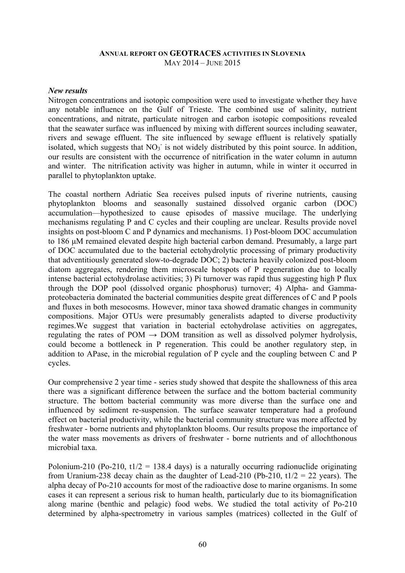#### **ANNUAL REPORT ON GEOTRACES ACTIVITIES IN SLOVENIA** MAY 2014 – JUNE 2015

### *New results*

Nitrogen concentrations and isotopic composition were used to investigate whether they have any notable influence on the Gulf of Trieste. The combined use of salinity, nutrient concentrations, and nitrate, particulate nitrogen and carbon isotopic compositions revealed that the seawater surface was influenced by mixing with different sources including seawater, rivers and sewage effluent. The site influenced by sewage effluent is relatively spatially isolated, which suggests that  $NO<sub>3</sub>$  is not widely distributed by this point source. In addition, our results are consistent with the occurrence of nitrification in the water column in autumn and winter. The nitrification activity was higher in autumn, while in winter it occurred in parallel to phytoplankton uptake.

The coastal northern Adriatic Sea receives pulsed inputs of riverine nutrients, causing phytoplankton blooms and seasonally sustained dissolved organic carbon (DOC) accumulation—hypothesized to cause episodes of massive mucilage. The underlying mechanisms regulating P and C cycles and their coupling are unclear. Results provide novel insights on post-bloom C and P dynamics and mechanisms. 1) Post-bloom DOC accumulation to 186 µM remained elevated despite high bacterial carbon demand. Presumably, a large part of DOC accumulated due to the bacterial ectohydrolytic processing of primary productivity that adventitiously generated slow-to-degrade DOC; 2) bacteria heavily colonized post-bloom diatom aggregates, rendering them microscale hotspots of P regeneration due to locally intense bacterial ectohydrolase activities; 3) Pi turnover was rapid thus suggesting high P flux through the DOP pool (dissolved organic phosphorus) turnover; 4) Alpha- and Gammaproteobacteria dominated the bacterial communities despite great differences of C and P pools and fluxes in both mesocosms. However, minor taxa showed dramatic changes in community compositions. Major OTUs were presumably generalists adapted to diverse productivity regimes.We suggest that variation in bacterial ectohydrolase activities on aggregates, regulating the rates of POM  $\rightarrow$  DOM transition as well as dissolved polymer hydrolysis, could become a bottleneck in P regeneration. This could be another regulatory step, in addition to APase, in the microbial regulation of P cycle and the coupling between C and P cycles.

Our comprehensive 2 year time - series study showed that despite the shallowness of this area there was a significant difference between the surface and the bottom bacterial community structure. The bottom bacterial community was more diverse than the surface one and influenced by sediment re-suspension. The surface seawater temperature had a profound effect on bacterial productivity, while the bacterial community structure was more affected by freshwater - borne nutrients and phytoplankton blooms. Our results propose the importance of the water mass movements as drivers of freshwater - borne nutrients and of allochthonous microbial taxa.

Polonium-210 (Po-210,  $t1/2 = 138.4$  days) is a naturally occurring radionuclide originating from Uranium-238 decay chain as the daughter of Lead-210 (Pb-210,  $t1/2 = 22$  years). The alpha decay of Po-210 accounts for most of the radioactive dose to marine organisms. In some cases it can represent a serious risk to human health, particularly due to its biomagnification along marine (benthic and pelagic) food webs. We studied the total activity of Po-210 determined by alpha-spectrometry in various samples (matrices) collected in the Gulf of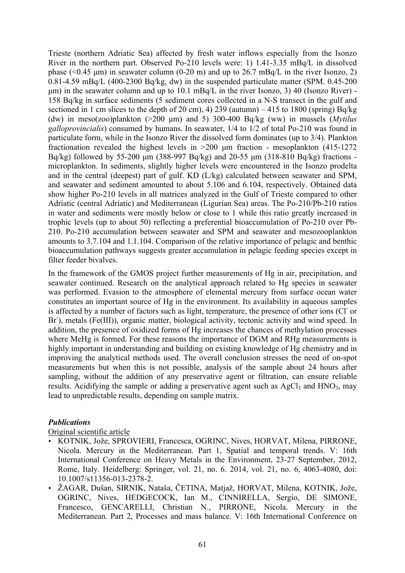Trieste (northern Adriatic Sea) affected by fresh water inflows especially from the Isonzo River in the northern part. Observed Po-210 levels were: 1) 1.41-3.35 mBq/L in dissolved phase ( $\leq 0.45$  um) in seawater column (0-20 m) and up to 26.7 mBq/L in the river Isonzo, 2) 0.81-4.59 mBq/L (400-2300 Bq/kg, dw) in the suspended particulate matter (SPM. 0.45-200  $\mu$ m) in the seawater column and up to 10.1 mBq/L in the river Isonzo, 3) 40 (Isonzo River) -158 Bq/kg in surface sediments (5 sediment cores collected in a N-S transect in the gulf and sectioned in 1 cm slices to the depth of 20 cm), 4) 239 (autumn) – 415 to 1800 (spring) Bq/kg (dw) in meso(zoo)plankton (>200 µm) and 5) 300-400 Bq/kg (ww) in mussels (*Mytilus galloprovincialis*) consumed by humans. In seawater, 1/4 to 1/2 of total Po-210 was found in particulate form, while in the Isonzo River the dissolved form dominates (up to 3/4). Plankton fractionation revealed the highest levels in >200 µm fraction - mesoplankton (415-1272 Bq/kg) followed by 55-200 µm (388-997 Bq/kg) and 20-55 µm (318-810 Bq/kg) fractions microplankton. In sediments, slightly higher levels were encountered in the Isonzo prodelta and in the central (deepest) part of gulf. KD (L/kg) calculated between seawater and SPM, and seawater and sediment amounted to about 5.106 and 6.104, respectively. Obtained data show higher Po-210 levels in all matrices analyzed in the Gulf of Trieste compared to other Adriatic (central Adriatic) and Mediterranean (Ligurian Sea) areas. The Po-210/Pb-210 ratios in water and sediments were mostly below or close to 1 while this ratio greatly increased in trophic levels (up to about 50) reflecting a preferential bioaccumulation of Po-210 over Pb-210. Po-210 accumulation between seawater and SPM and seawater and mesozooplankton amounts to 3.7.104 and 1.1.104. Comparison of the relative importance of pelagic and benthic bioaccumulation pathways suggests greater accumulation in pelagic feeding species except in filter feeder bivalves.

In the framework of the GMOS project further measurements of Hg in air, precipitation, and seawater continued. Research on the analytical approach related to Hg species in seawater was performed. Evasion to the atmosphere of elemental mercury from surface ocean water constitutes an important source of Hg in the environment. Its availability in aqueous samples is affected by a number of factors such as light, temperature, the presence of other ions (Cl or Br), metals (Fe(III)), organic matter, biological activity, tectonic activity and wind speed. In addition, the presence of oxidized forms of Hg increases the chances of methylation processes where MeHg is formed. For these reasons the importance of DGM and RHg measurements is highly important in understanding and building on existing knowledge of Hg chemistry and in improving the analytical methods used. The overall conclusion stresses the need of on-spot measurements but when this is not possible, analysis of the sample about 24 hours after sampling, without the addition of any preservative agent or filtration, can ensure reliable results. Acidifying the sample or adding a preservative agent such as  $AgCl<sub>3</sub>$  and  $HNO<sub>3</sub>$ , may lead to unpredictable results, depending on sample matrix.

## *Publications*

### Original scientific article

- KOTNIK, Jože, SPROVIERI, Francesca, OGRINC, Nives, HORVAT, Milena, PIRRONE, Nicola. Mercury in the Mediterranean. Part 1, Spatial and temporal trends. V: 16th International Conference on Heavy Metals in the Environment, 23-27 September, 2012, Rome, Italy. Heidelberg: Springer, vol. 21, no. 6. 2014, vol. 21, no. 6, 4063-4080, doi: 10.1007/s11356-013-2378-2.
- ŽAGAR, Dušan, SIRNIK, Nataša, ČETINA, Matjaž, HORVAT, Milena, KOTNIK, Jože, OGRINC, Nives, HEDGECOCK, Ian M., CINNIRELLA, Sergio, DE SIMONE, Francesco, GENCARELLI, Christian N., PIRRONE, Nicola. Mercury in the Mediterranean. Part 2, Processes and mass balance. V: 16th International Conference on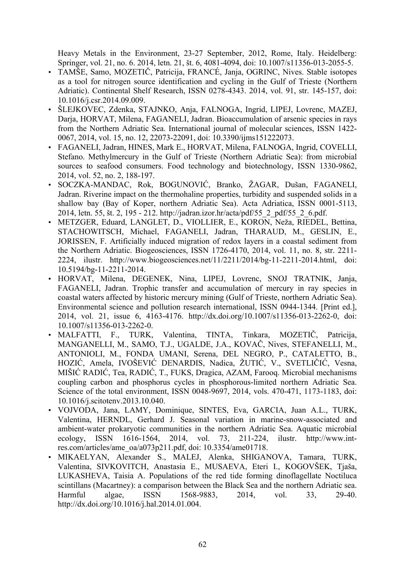Heavy Metals in the Environment, 23-27 September, 2012, Rome, Italy. Heidelberg: Springer, vol. 21, no. 6. 2014, letn. 21, št. 6, 4081-4094, doi: 10.1007/s11356-013-2055-5.

- TAMŠE, Samo, MOZETIČ, Patricija, FRANCÉ, Janja, OGRINC, Nives, Stable isotopes as a tool for nitrogen source identification and cycling in the Gulf of Trieste (Northern Adriatic). Continental Shelf Research, ISSN 0278-4343. 2014, vol. 91, str. 145-157, doi: 10.1016/j.csr.2014.09.009.
- ŠLEJKOVEC, Zdenka, STAJNKO, Anja, FALNOGA, Ingrid, LIPEJ, Lovrenc, MAZEJ, Darja, HORVAT, Milena, FAGANELI, Jadran. Bioaccumulation of arsenic species in rays from the Northern Adriatic Sea. International journal of molecular sciences, ISSN 1422- 0067, 2014, vol. 15, no. 12, 22073-22091, doi: 10.3390/ijms151222073.
- FAGANELI, Jadran, HINES, Mark E., HORVAT, Milena, FALNOGA, Ingrid, COVELLI, Stefano. Methylmercury in the Gulf of Trieste (Northern Adriatic Sea): from microbial sources to seafood consumers. Food technology and biotechnology, ISSN 1330-9862, 2014, vol. 52, no. 2, 188-197.
- SOCZKA-MANDAC, Rok, BOGUNOVIĆ, Branko, ŽAGAR, Dušan, FAGANELI, Jadran. Riverine impact on the thermohaline properties, turbidity and suspended solids in a shallow bay (Bay of Koper, northern Adriatic Sea). Acta Adriatica, ISSN 0001-5113, 2014, letn. 55, št. 2, 195 - 212. http://jadran.izor.hr/acta/pdf/55\_2\_pdf/55\_2\_6.pdf.
- METZGER, Eduard, LANGLET, D., VIOLLIER, E., KORON, Neža, RIEDEL, Bettina, STACHOWITSCH, Michael, FAGANELI, Jadran, THARAUD, M., GESLIN, E., JORISSEN, F. Artificially induced migration of redox layers in a coastal sediment from the Northern Adriatic. Biogeosciences, ISSN 1726-4170, 2014, vol. 11, no. 8, str. 2211- 2224, ilustr. http://www.biogeosciences.net/11/2211/2014/bg-11-2211-2014.html, doi: 10.5194/bg-11-2211-2014.
- HORVAT, Milena, DEGENEK, Nina, LIPEJ, Lovrenc, SNOJ TRATNIK, Janja, FAGANELI, Jadran. Trophic transfer and accumulation of mercury in ray species in coastal waters affected by historic mercury mining (Gulf of Trieste, northern Adriatic Sea). Environmental science and pollution research international, ISSN 0944-1344. [Print ed.], 2014, vol. 21, issue 6, 4163-4176. http://dx.doi.org/10.1007/s11356-013-2262-0, doi: 10.1007/s11356-013-2262-0.
- MALFATTI, F., TURK, Valentina, TINTA, Tinkara, MOZETIČ, Patricija, MANGANELLI, M., SAMO, T.J., UGALDE, J.A., KOVAČ, Nives, STEFANELLI, M., ANTONIOLI, M., FONDA UMANI, Serena, DEL NEGRO, P., CATALETTO, B., HOZIĆ, Amela, IVOŠEVIĆ DENARDIS, Nadica, ŽUTIĆ, V., SVETLIČIĆ, Vesna, MIŠIĆ RADIĆ, Tea, RADIĆ, T., FUKS, Dragica, AZAM, Farooq. Microbial mechanisms coupling carbon and phosphorus cycles in phosphorous-limited northern Adriatic Sea. Science of the total environment, ISSN 0048-9697, 2014, vols. 470-471, 1173-1183, doi: 10.1016/j.scitotenv.2013.10.040.
- VOJVODA, Jana, LAMY, Dominique, SINTES, Eva, GARCIA, Juan A.L., TURK, Valentina, HERNDL, Gerhard J. Seasonal variation in marine-snow-associated and ambient-water prokaryotic communities in the northern Adriatic Sea. Aquatic microbial ecology, ISSN 1616-1564, 2014, vol. 73, 211-224, ilustr. http://www.intres.com/articles/ame\_oa/a073p211.pdf, doi: 10.3354/ame01718.
- MIKAELYAN, Alexander S., MALEJ, Alenka, SHIGANOVA, Tamara, TURK, Valentina, SIVKOVITCH, Anastasia E., MUSAEVA, Eteri I., KOGOVŠEK, Tjaša, LUKASHEVA, Taisia A. Populations of the red tide forming dinoflagellate Noctiluca scintillans (Macartney): a comparison between the Black Sea and the northern Adriatic sea. Harmful algae, ISSN 1568-9883, 2014, vol. 33, 29-40. http://dx.doi.org/10.1016/j.hal.2014.01.004.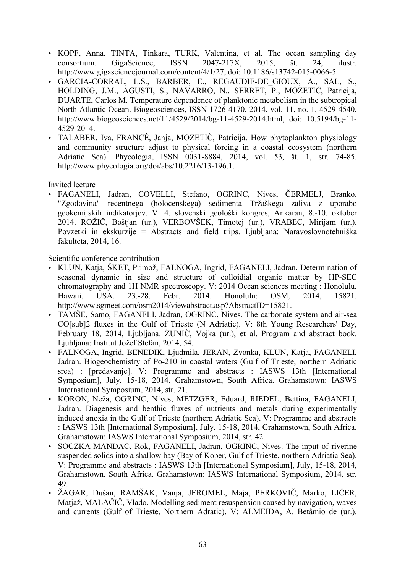- KOPF, Anna, TINTA, Tinkara, TURK, Valentina, et al. The ocean sampling day consortium. GigaScience, ISSN 2047-217X, 2015, št. 24, ilustr. http://www.gigasciencejournal.com/content/4/1/27, doi: 10.1186/s13742-015-0066-5.
- GARCIA-CORRAL, L.S., BARBER, E., REGAUDIE-DE GIOUX, A., SAL, S., HOLDING, J.M., AGUSTI, S., NAVARRO, N., SERRET, P., MOZETIČ, Patricija, DUARTE, Carlos M. Temperature dependence of planktonic metabolism in the subtropical North Atlantic Ocean. Biogeosciences, ISSN 1726-4170, 2014, vol. 11, no. 1, 4529-4540, http://www.biogeosciences.net/11/4529/2014/bg-11-4529-2014.html, doi: 10.5194/bg-11- 4529-2014.
- TALABER, Iva, FRANCÉ, Janja, MOZETIČ, Patricija. How phytoplankton physiology and community structure adjust to physical forcing in a coastal ecosystem (northern Adriatic Sea). Phycologia, ISSN 0031-8884, 2014, vol. 53, št. 1, str. 74-85. http://www.phycologia.org/doi/abs/10.2216/13-196.1.

# Invited lecture

• FAGANELI, Jadran, COVELLI, Stefano, OGRINC, Nives, ČERMELJ, Branko. "Zgodovina" recentnega (holocenskega) sedimenta Tržaškega zaliva z uporabo geokemijskih indikatorjev. V: 4. slovenski geološki kongres, Ankaran, 8.-10. oktober 2014. ROŽIČ, Boštjan (ur.), VERBOVŠEK, Timotej (ur.), VRABEC, Mirijam (ur.). Povzetki in ekskurzije = Abstracts and field trips. Ljubljana: Naravoslovnotehniška fakulteta, 2014, 16.

# Scientific conference contribution

- KLUN, Katja, ŠKET, Primož, FALNOGA, Ingrid, FAGANELI, Jadran. Determination of seasonal dynamic in size and structure of colloidial organic matter by HP-SEC chromatography and 1H NMR spectroscopy. V: 2014 Ocean sciences meeting : Honolulu, Hawaii, USA, 23.-28. Febr. 2014. Honolulu: OSM, 2014, 15821. http://www.sgmeet.com/osm2014/viewabstract.asp?AbstractID=15821.
- TAMŠE, Samo, FAGANELI, Jadran, OGRINC, Nives. The carbonate system and air-sea CO[sub]2 fluxes in the Gulf of Trieste (N Adriatic). V: 8th Young Researchers' Day, February 18, 2014, Ljubljana. ŽUNIČ, Vojka (ur.), et al. Program and abstract book. Ljubljana: Institut Jožef Stefan, 2014, 54.
- FALNOGA, Ingrid, BENEDIK, Ljudmila, JERAN, Zvonka, KLUN, Katja, FAGANELI, Jadran. Biogeochemistry of Po-210 in coastal waters (Gulf of Trieste, northern Adriatic srea) : [predavanje]. V: Programme and abstracts : IASWS 13th [International Symposium], July, 15-18, 2014, Grahamstown, South Africa. Grahamstown: IASWS International Symposium, 2014, str. 21.
- KORON, Neža, OGRINC, Nives, METZGER, Eduard, RIEDEL, Bettina, FAGANELI, Jadran. Diagenesis and benthic fluxes of nutrients and metals during experimentally induced anoxia in the Gulf of Trieste (northern Adriatic Sea). V: Programme and abstracts : IASWS 13th [International Symposium], July, 15-18, 2014, Grahamstown, South Africa. Grahamstown: IASWS International Symposium, 2014, str. 42.
- SOCZKA-MANDAC, Rok, FAGANELI, Jadran, OGRINC, Nives. The input of riverine suspended solids into a shallow bay (Bay of Koper, Gulf of Trieste, northern Adriatic Sea). V: Programme and abstracts : IASWS 13th [International Symposium], July, 15-18, 2014, Grahamstown, South Africa. Grahamstown: IASWS International Symposium, 2014, str. 49.
- ŽAGAR, Dušan, RAMŠAK, Vanja, JEROMEL, Maja, PERKOVIČ, Marko, LIČER, Matjaž, MALAČIČ, Vlado. Modelling sediment resuspension caused by navigation, waves and currents (Gulf of Trieste, Northern Adratic). V: ALMEIDA, A. Betâmio de (ur.).